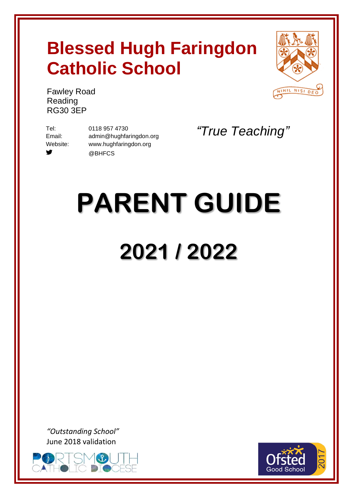## **Blessed Hugh Faringdon Catholic School**



Fawley Road Reading RG30 3EP

₩

Tel: 0118 957 4730 Email: [admin@hughfaringdon.org](mailto:admin@hughfaringdon.org) Website: [www.hughfaringdon.org](http://www.hughfaringdon.org/) @BHFCS

*"True Teaching"*

# **PARENT GUIDE 2021 / 2022**

*"Outstanding School"* [June 2018](https://www.google.co.uk/url?sa=i&rct=j&q=&esrc=s&source=images&cd=&cad=rja&uact=8&ved=2ahUKEwjLmcTXlvHbAhWJtRQKHZKnD6kQjRx6BAgBEAU&url=http://stswithuns.org.uk/event/eventtrinity-pilgrimage-poland-ukraine-lithuania-september-2018/&psig=AOvVaw2lr_wkmo01g66zHT0bqfR8&ust=1530097275705111) validation



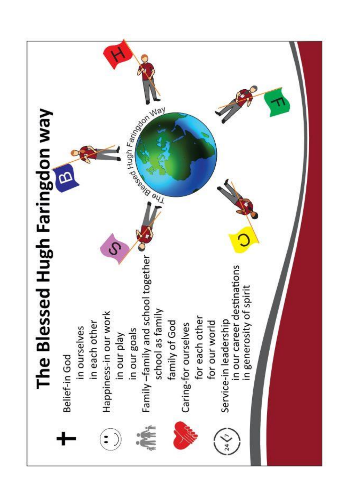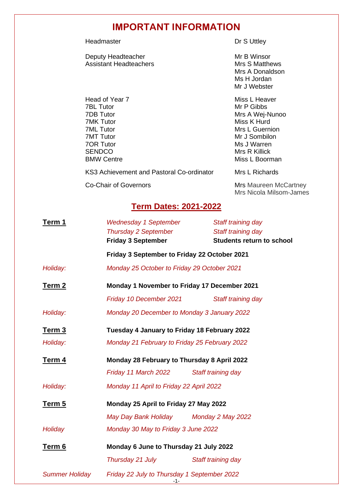## **IMPORTANT INFORMATION**

Headmaster **Dr S Uttley** 

Deputy Headteacher<br>
Assistant Headteachers<br>
Mrs S Matthews Assistant Headteachers

Head of Year 7 Miss L Heaver<br>
TBL Tutor Miss L Heaver<br>
Miss L Heaver 7BL Tutor Mr P Gibbs 7MT Tutor Mr J Sombilon **7OR Tutor Ms J Warren** SENDCO<br>BMW Centre **Mrs R Killick**<br>Miss L Boorn

Mrs A Donaldson Ms H Jordan Mr J Webster

7DB Tutor Mrs A Wej-Nunoo Miss K Hurd 7ML Tutor **Mrs** L Guernion Miss L Boorman

KS3 Achievement and Pastoral Co-ordinator Mrs L Richards

Co-Chair of Governors Mrs Maureen McCartney Mrs Nicola Milsom-James

## **Term Dates: 2021-2022**

| <u>Term 1</u>         | <b>Wednesday 1 September</b><br><b>Thursday 2 September</b><br><b>Friday 3 September</b> | Staff training day<br>Staff training day<br><b>Students return to school</b> |  |  |  |
|-----------------------|------------------------------------------------------------------------------------------|------------------------------------------------------------------------------|--|--|--|
|                       | Friday 3 September to Friday 22 October 2021                                             |                                                                              |  |  |  |
| Holiday:              | Monday 25 October to Friday 29 October 2021                                              |                                                                              |  |  |  |
| Term 2                | Monday 1 November to Friday 17 December 2021                                             |                                                                              |  |  |  |
|                       | Friday 10 December 2021                                                                  | Staff training day                                                           |  |  |  |
| Holiday:              | Monday 20 December to Monday 3 January 2022                                              |                                                                              |  |  |  |
| Term <sub>3</sub>     | Tuesday 4 January to Friday 18 February 2022                                             |                                                                              |  |  |  |
| Holiday:              | Monday 21 February to Friday 25 February 2022                                            |                                                                              |  |  |  |
| <u>Term 4</u>         | Monday 28 February to Thursday 8 April 2022                                              |                                                                              |  |  |  |
|                       | Friday 11 March 2022                                                                     | Staff training day                                                           |  |  |  |
| Holiday:              | Monday 11 April to Friday 22 April 2022                                                  |                                                                              |  |  |  |
| <u>Term 5</u>         | Monday 25 April to Friday 27 May 2022                                                    |                                                                              |  |  |  |
|                       | May Day Bank Holiday Monday 2 May 2022                                                   |                                                                              |  |  |  |
| Holiday               | Monday 30 May to Friday 3 June 2022                                                      |                                                                              |  |  |  |
| Term 6                | Monday 6 June to Thursday 21 July 2022                                                   |                                                                              |  |  |  |
|                       | Thursday 21 July                                                                         | Staff training day                                                           |  |  |  |
| <b>Summer Holiday</b> | Friday 22 July to Thursday 1 September 2022<br>-1-                                       |                                                                              |  |  |  |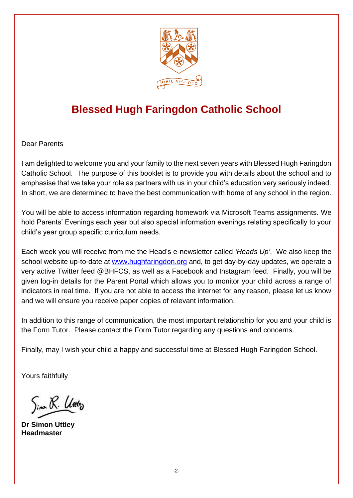

## **Blessed Hugh Faringdon Catholic School**

Dear Parents

I am delighted to welcome you and your family to the next seven years with Blessed Hugh Faringdon Catholic School. The purpose of this booklet is to provide you with details about the school and to emphasise that we take your role as partners with us in your child's education very seriously indeed. In short, we are determined to have the best communication with home of any school in the region.

You will be able to access information regarding homework via Microsoft Teams assignments*.* We hold Parents' Evenings each year but also special information evenings relating specifically to your child's year group specific curriculum needs.

Each week you will receive from me the Head's e-newsletter called *'Heads Up'*. We also keep the school website up-to-date at [www.hughfaringdon.org](http://www.hughfaringdon.org/) and, to get day-by-day updates, we operate a very active Twitter feed @BHFCS, as well as a Facebook and Instagram feed. Finally, you will be given log-in details for the Parent Portal which allows you to monitor your child across a range of indicators in real time. If you are not able to access the internet for any reason, please let us know and we will ensure you receive paper copies of relevant information.

In addition to this range of communication, the most important relationship for you and your child is the Form Tutor. Please contact the Form Tutor regarding any questions and concerns.

Finally, may I wish your child a happy and successful time at Blessed Hugh Faringdon School.

Yours faithfully

Sim R. Utiliz

**Dr Simon Uttley Headmaster**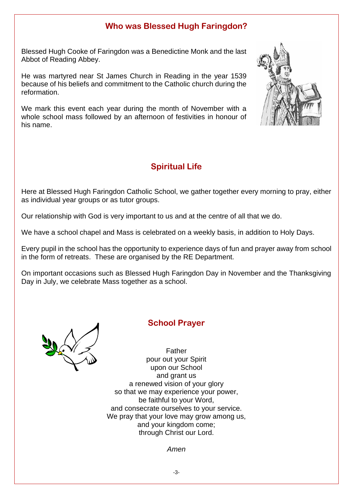## **Who was Blessed Hugh Faringdon?**

Blessed Hugh Cooke of Faringdon was a Benedictine Monk and the last Abbot of Reading Abbey.

He was martyred near St James Church in Reading in the year 1539 because of his beliefs and commitment to the Catholic church during the reformation.

We mark this event each year during the month of November with a whole school mass followed by an afternoon of festivities in honour of his name.



## **Spiritual Life**

Here at Blessed Hugh Faringdon Catholic School, we gather together every morning to pray, either as individual year groups or as tutor groups.

Our relationship with God is very important to us and at the centre of all that we do.

We have a school chapel and Mass is celebrated on a weekly basis, in addition to Holy Days.

Every pupil in the school has the opportunity to experience days of fun and prayer away from school in the form of retreats. These are organised by the RE Department.

On important occasions such as Blessed Hugh Faringdon Day in November and the Thanksgiving Day in July, we celebrate Mass together as a school.



## **School Prayer**

Father pour out your Spirit upon our School and grant us a renewed vision of your glory so that we may experience your power, be faithful to your Word, and consecrate ourselves to your service. We pray that your love may grow among us, and your kingdom come; through Christ our Lord.

*Amen*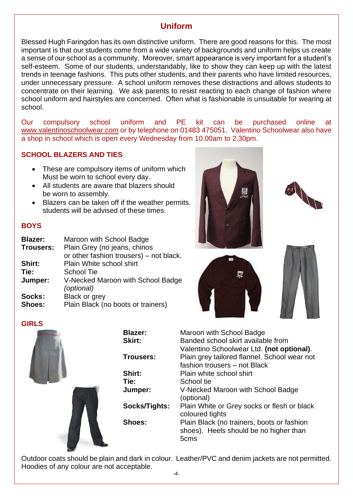## **Uniform**

Blessed Hugh Faringdon has its own distinctive uniform. There are good reasons for this. The most important is that our students come from a wide variety of backgrounds and uniform helps us create a sense of our school as a community. Moreover, smart appearance is very important for a student's self-esteem. Some of our students, understandably, like to show they can keep up with the latest trends in teenage fashions. This puts other students, and their parents who have limited resources, under unnecessary pressure. A school uniform removes these distractions and allows students to concentrate on their learning. We ask parents to resist reacting to each change of fashion where school uniform and hairstyles are concerned. Often what is fashionable is unsuitable for wearing at school.

Our compulsory school uniform and PE kit can be purchased online at [www.valentinoschoolwear.com](http://www.valentinoschoolwear.com/) or by telephone on 01483 475051. Valentino Schoolwear also have a shop in school which is open every Wednesday from 10.00am to 2.30pm.

#### **SCHOOL BLAZERS AND TIES**

- These are compulsory items of uniform which Must be worn to school every day.
- All students are aware that blazers should be worn to assembly.
- Blazers can be taken off if the weather permits. students will be advised of these times.

#### **BOYS**

| <b>Blazer:</b> | Maroon with School Badge                        |  |  |  |
|----------------|-------------------------------------------------|--|--|--|
| Trousers:      | Plain Grey (no jeans, chinos                    |  |  |  |
|                | or other fashion trousers) – not black.         |  |  |  |
| Shirt:         | Plain White school shirt                        |  |  |  |
| Tie:           | <b>School Tie</b>                               |  |  |  |
| Jumper:        | V-Necked Maroon with School Badge<br>(optional) |  |  |  |
| Socks:         | Black or grey                                   |  |  |  |
| <b>Shoes:</b>  | Plain Black (no boots or trainers)              |  |  |  |





| Maroon with School Badge<br>Banded school skirt available from<br>Valentino Schoolwear Ltd. (not optional). |
|-------------------------------------------------------------------------------------------------------------|
| Plain grey tailored flannel. School wear not<br>fashion trousers - not Black                                |
| Plain white school shirt                                                                                    |
| School tie                                                                                                  |
| V-Necked Maroon with School Badge<br>(optional)                                                             |
| Plain White or Grey socks or flesh or black<br>coloured tights                                              |
| Plain Black (no trainers, boots or fashion<br>shoes). Heels should be no higher than<br>5 <sub>cms</sub>    |
|                                                                                                             |

Outdoor coats should be plain and dark in colour. Leather/PVC and denim jackets are not permitted. Hoodies of any colour are not acceptable.







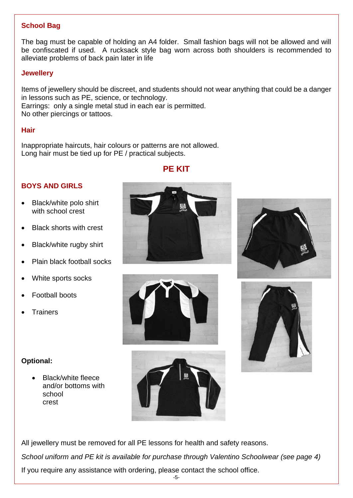#### **School Bag**

The bag must be capable of holding an A4 folder. Small fashion bags will not be allowed and will be confiscated if used. A rucksack style bag worn across both shoulders is recommended to alleviate problems of back pain later in life

#### **Jewellery**

Items of jewellery should be discreet, and students should not wear anything that could be a danger in lessons such as PE, science, or technology. Earrings: only a single metal stud in each ear is permitted. No other piercings or tattoos.

#### **Hair**

Inappropriate haircuts, hair colours or patterns are not allowed. Long hair must be tied up for PE / practical subjects.

#### **PE KIT**

#### **BOYS AND GIRLS**

- Black/white polo shirt with school crest
- Black shorts with crest
- Black/white rugby shirt
- Plain black football socks
- White sports socks
- Football boots
- **Trainers**

#### **Optional:**

• Black/white fleece and/or bottoms with school crest









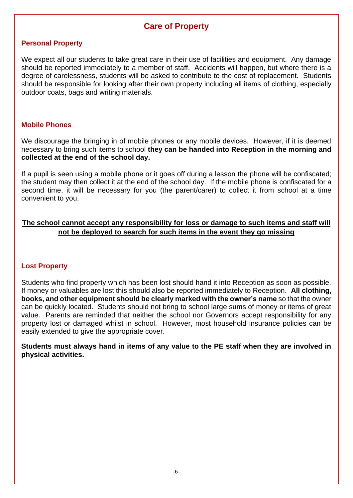## **Care of Property**

#### **Personal Property**

We expect all our students to take great care in their use of facilities and equipment. Any damage should be reported immediately to a member of staff. Accidents will happen, but where there is a degree of carelessness, students will be asked to contribute to the cost of replacement. Students should be responsible for looking after their own property including all items of clothing, especially outdoor coats, bags and writing materials.

#### **Mobile Phones**

We discourage the bringing in of mobile phones or any mobile devices. However, if it is deemed necessary to bring such items to school **they can be handed into Reception in the morning and collected at the end of the school day.**

If a pupil is seen using a mobile phone or it goes off during a lesson the phone will be confiscated; the student may then collect it at the end of the school day. If the mobile phone is confiscated for a second time, it will be necessary for you (the parent/carer) to collect it from school at a time convenient to you.

#### **The school cannot accept any responsibility for loss or damage to such items and staff will not be deployed to search for such items in the event they go missing**

#### **Lost Property**

Students who find property which has been lost should hand it into Reception as soon as possible. If money or valuables are lost this should also be reported immediately to Reception. **All clothing, books, and other equipment should be clearly marked with the owner's name** so that the owner can be quickly located. Students should not bring to school large sums of money or items of great value. Parents are reminded that neither the school nor Governors accept responsibility for any property lost or damaged whilst in school. However, most household insurance policies can be easily extended to give the appropriate cover.

**Students must always hand in items of any value to the PE staff when they are involved in physical activities.**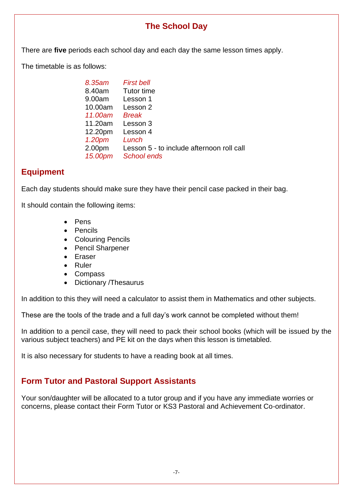## **The School Day**

There are **five** periods each school day and each day the same lesson times apply.

The timetable is as follows:

| 8.35am             | <b>First bell</b>                         |
|--------------------|-------------------------------------------|
| 8.40am             | Tutor time                                |
| 9.00am             | Lesson 1                                  |
| 10.00am            | Lesson 2                                  |
| 11.00am            | Break                                     |
| 11.20am            | Lesson 3                                  |
| 12.20pm            | Lesson 4                                  |
| 1.20 <sub>pm</sub> | Lunch                                     |
| 2.00pm             | Lesson 5 - to include afternoon roll call |
| 15.00pm            | <b>School ends</b>                        |
|                    |                                           |

## **Equipment**

Each day students should make sure they have their pencil case packed in their bag.

It should contain the following items:

- Pens
- Pencils
- Colouring Pencils
- Pencil Sharpener
- Eraser
- Ruler
- Compass
- Dictionary /Thesaurus

In addition to this they will need a calculator to assist them in Mathematics and other subjects.

These are the tools of the trade and a full day's work cannot be completed without them!

In addition to a pencil case, they will need to pack their school books (which will be issued by the various subject teachers) and PE kit on the days when this lesson is timetabled.

It is also necessary for students to have a reading book at all times.

## **Form Tutor and Pastoral Support Assistants**

Your son/daughter will be allocated to a tutor group and if you have any immediate worries or concerns, please contact their Form Tutor or KS3 Pastoral and Achievement Co-ordinator.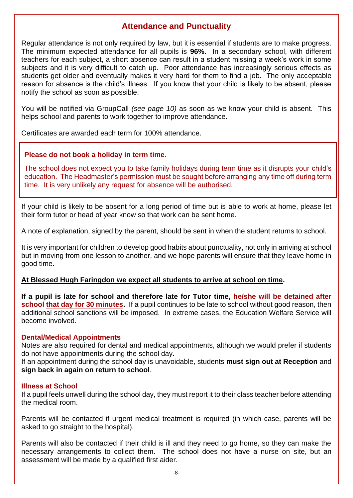## **Attendance and Punctuality**

Regular attendance is not only required by law, but it is essential if students are to make progress. The minimum expected attendance for all pupils is **96%**. In a secondary school, with different teachers for each subject, a short absence can result in a student missing a week's work in some subjects and it is very difficult to catch up. Poor attendance has increasingly serious effects as students get older and eventually makes it very hard for them to find a job. The only acceptable reason for absence is the child's illness. If you know that your child is likely to be absent, please notify the school as soon as possible.

You will be notified via GroupCall *(see page 10)* as soon as we know your child is absent. This helps school and parents to work together to improve attendance.

Certificates are awarded each term for 100% attendance.

#### **Please do not book a holiday in term time.**

The school does not expect you to take family holidays during term time as it disrupts your child's education. The Headmaster's permission must be sought before arranging any time off during term time. It is very unlikely any request for absence will be authorised.

If your child is likely to be absent for a long period of time but is able to work at home, please let their form tutor or head of year know so that work can be sent home.

A note of explanation, signed by the parent, should be sent in when the student returns to school.

It is very important for children to develop good habits about punctuality, not only in arriving at school but in moving from one lesson to another, and we hope parents will ensure that they leave home in good time.

#### **At Blessed Hugh Faringdon we expect all students to arrive at school on time.**

**If a pupil is late for school and therefore late for Tutor time, he/she will be detained after school that day for 30 minutes.** If a pupil continues to be late to school without good reason, then additional school sanctions will be imposed. In extreme cases, the Education Welfare Service will become involved.

#### **Dental/Medical Appointments**

Notes are also required for dental and medical appointments, although we would prefer if students do not have appointments during the school day.

If an appointment during the school day is unavoidable, students **must sign out at Reception** and **sign back in again on return to school**.

#### **Illness at School**

If a pupil feels unwell during the school day, they must report it to their class teacher before attending the medical room.

Parents will be contacted if urgent medical treatment is required (in which case, parents will be asked to go straight to the hospital).

Parents will also be contacted if their child is ill and they need to go home, so they can make the necessary arrangements to collect them. The school does not have a nurse on site, but an assessment will be made by a qualified first aider.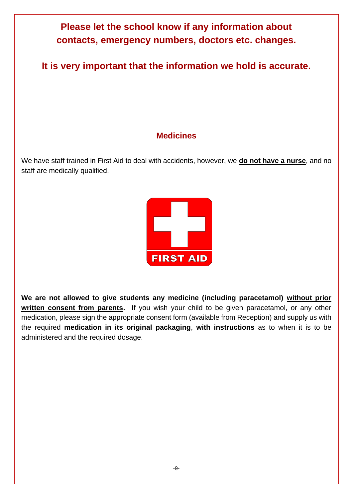

**It is very important that the information we hold is accurate.**

## **Medicines**

We have staff trained in First Aid to deal with accidents, however, we **do not have a nurse**, and no staff are medically qualified.



**We are not allowed to give students any medicine (including paracetamol) without prior written consent from parents.** If you wish your child to be given paracetamol, or any other medication, please sign the appropriate consent form (available from Reception) and supply us with the required **medication in its original packaging**, **with instructions** as to when it is to be administered and the required dosage.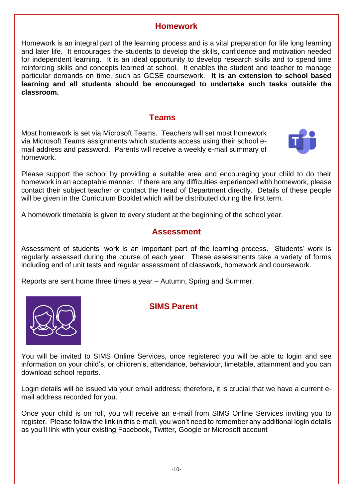#### **Homework**

Homework is an integral part of the learning process and is a vital preparation for life long learning and later life. It encourages the students to develop the skills, confidence and motivation needed for independent learning. It is an ideal opportunity to develop research skills and to spend time reinforcing skills and concepts learned at school. It enables the student and teacher to manage particular demands on time, such as GCSE coursework. **It is an extension to school based learning and all students should be encouraged to undertake such tasks outside the classroom.**

#### **Teams**

Most homework is set via Microsoft Teams. Teachers will set most homework via Microsoft Teams assignments which students access using their school email address and password. Parents will receive a weekly e-mail summary of homework.



Please support the school by providing a suitable area and encouraging your child to do their homework in an acceptable manner. If there are any difficulties experienced with homework, please contact their subject teacher or contact the Head of Department directly. Details of these people will be given in the Curriculum Booklet which will be distributed during the first term.

A homework timetable is given to every student at the beginning of the school year.

#### **Assessment**

Assessment of students' work is an important part of the learning process. Students' work is regularly assessed during the course of each year. These assessments take a variety of forms including end of unit tests and regular assessment of classwork, homework and coursework.

Reports are sent home three times a year – Autumn, Spring and Summer.



#### **SIMS Parent**

You will be invited to SIMS Online Services, once registered you will be able to login and see information on your child's, or children's, attendance, behaviour, timetable, attainment and you can download school reports.

Login details will be issued via your email address; therefore, it is crucial that we have a current email address recorded for you.

Once your child is on roll, you will receive an e-mail from SIMS Online Services inviting you to register. Please follow the link in this e-mail, you won't need to remember any additional login details as you'll link with your existing Facebook, Twitter, Google or Microsoft account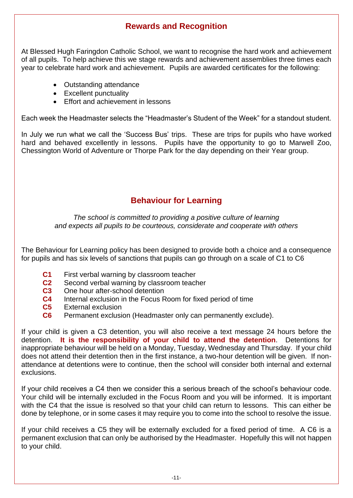## **Rewards and Recognition**

At Blessed Hugh Faringdon Catholic School, we want to recognise the hard work and achievement of all pupils. To help achieve this we stage rewards and achievement assemblies three times each year to celebrate hard work and achievement. Pupils are awarded certificates for the following:

- Outstanding attendance
- Excellent punctuality
- Effort and achievement in lessons

Each week the Headmaster selects the "Headmaster's Student of the Week" for a standout student.

In July we run what we call the 'Success Bus' trips. These are trips for pupils who have worked hard and behaved excellently in lessons. Pupils have the opportunity to go to Marwell Zoo, Chessington World of Adventure or Thorpe Park for the day depending on their Year group.

## **Behaviour for Learning**

*The school is committed to providing a positive culture of learning and expects all pupils to be courteous, considerate and cooperate with others*

The Behaviour for Learning policy has been designed to provide both a choice and a consequence for pupils and has six levels of sanctions that pupils can go through on a scale of C1 to C6

- **C1** First verbal warning by classroom teacher
- **C2** Second verbal warning by classroom teacher
- **C3** One hour after-school detention
- **C4** Internal exclusion in the Focus Room for fixed period of time
- **C5** External exclusion
- **C6** Permanent exclusion (Headmaster only can permanently exclude).

If your child is given a C3 detention, you will also receive a text message 24 hours before the detention. **It is the responsibility of your child to attend the detention**. Detentions for inappropriate behaviour will be held on a Monday, Tuesday, Wednesday and Thursday. If your child does not attend their detention then in the first instance, a two-hour detention will be given. If nonattendance at detentions were to continue, then the school will consider both internal and external exclusions.

If your child receives a C4 then we consider this a serious breach of the school's behaviour code. Your child will be internally excluded in the Focus Room and you will be informed. It is important with the C4 that the issue is resolved so that your child can return to lessons. This can either be done by telephone, or in some cases it may require you to come into the school to resolve the issue.

If your child receives a C5 they will be externally excluded for a fixed period of time. A C6 is a permanent exclusion that can only be authorised by the Headmaster. Hopefully this will not happen to your child.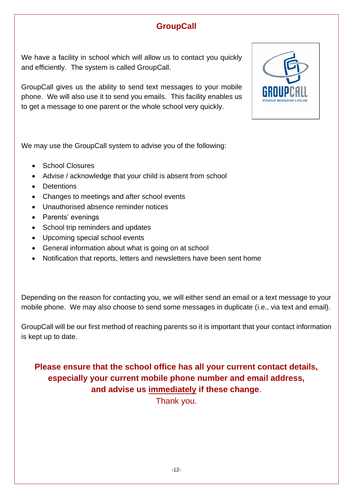## **GroupCall**

We have a facility in school which will allow us to contact you quickly and efficiently. The system is called GroupCall.

GroupCall gives us the ability to send text messages to your mobile phone. We will also use it to send you emails. This facility enables us to get a message to one parent or the whole school very quickly.

We may use the GroupCall system to advise you of the following:

- School Closures
- Advise / acknowledge that your child is absent from school
- Detentions
- Changes to meetings and after school events
- Unauthorised absence reminder notices
- Parents' evenings
- School trip reminders and updates
- Upcoming special school events
- General information about what is going on at school
- Notification that reports, letters and newsletters have been sent home

Depending on the reason for contacting you, we will either send an email or a text message to your mobile phone. We may also choose to send some messages in duplicate (i.e., via text and email).

GroupCall will be our first method of reaching parents so it is important that your contact information is kept up to date.

## **Please ensure that the school office has all your current contact details, especially your current mobile phone number and email address, and advise us immediately if these change**.

Thank you.

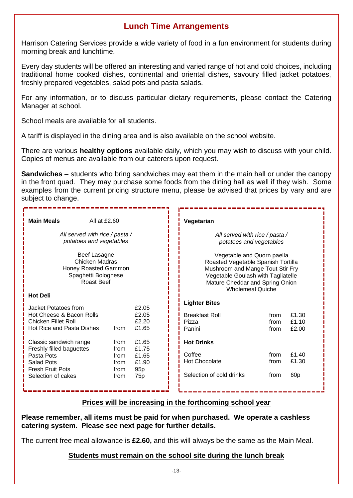## **Lunch Time Arrangements**

Harrison Catering Services provide a wide variety of food in a fun environment for students during morning break and lunchtime.

Every day students will be offered an interesting and varied range of hot and cold choices, including traditional home cooked dishes, continental and oriental dishes, savoury filled jacket potatoes, freshly prepared vegetables, salad pots and pasta salads.

For any information, or to discuss particular dietary requirements, please contact the Catering Manager at school.

School meals are available for all students.

A tariff is displayed in the dining area and is also available on the school website.

There are various **healthy options** available daily, which you may wish to discuss with your child. Copies of menus are available from our caterers upon request.

**Sandwiches** – students who bring sandwiches may eat them in the main hall or under the canopy in the front quad. They may purchase some foods from the dining hall as well if they wish. Some examples from the current pricing structure menu, please be advised that prices by vary and are subject to change.

| <b>Main Meals</b><br>All at $£2.60$                                                                                |                      |                                                                                                                                                                                                          |  | Vegetarian                               |                      |                         |
|--------------------------------------------------------------------------------------------------------------------|----------------------|----------------------------------------------------------------------------------------------------------------------------------------------------------------------------------------------------------|--|------------------------------------------|----------------------|-------------------------|
| All served with rice / pasta /<br>potatoes and vegetables                                                          |                      | All served with rice / pasta /<br>potatoes and vegetables                                                                                                                                                |  |                                          |                      |                         |
| Beef Lasagne<br>Chicken Madras<br>Honey Roasted Gammon<br>Spaghetti Bolognese<br>Roast Beef                        |                      | Vegetable and Quorn paella<br>Roasted Vegetable Spanish Tortilla<br>Mushroom and Mange Tout Stir Fry<br>Vegetable Goulash with Tagliatelle<br>Mature Cheddar and Spring Onion<br><b>Wholemeal Quiche</b> |  |                                          |                      |                         |
| <b>Hot Deli</b>                                                                                                    |                      |                                                                                                                                                                                                          |  | <b>Lighter Bites</b>                     |                      |                         |
| Jacket Potatoes from<br>Hot Cheese & Bacon Rolls<br><b>Chicken Fillet Roll</b><br><b>Hot Rice and Pasta Dishes</b> | from                 | £2.05<br>£2.05<br>f2.20<br>£1.65                                                                                                                                                                         |  | <b>Breakfast Roll</b><br>Pizza<br>Panini | from<br>from<br>from | £1.30<br>£1.10<br>£2.00 |
| Classic sandwich range                                                                                             | from                 | £1.65                                                                                                                                                                                                    |  | <b>Hot Drinks</b>                        |                      |                         |
| Freshly filled baguettes<br>Pasta Pots<br><b>Salad Pots</b>                                                        | from<br>from<br>from | £1.75<br>£1.65<br>£1.90                                                                                                                                                                                  |  | Coffee<br><b>Hot Chocolate</b>           | from<br>from         | £1.40<br>£1.30          |
| <b>Fresh Fruit Pots</b><br>Selection of cakes                                                                      | from<br>from         | 95 <sub>p</sub><br>75p                                                                                                                                                                                   |  | Selection of cold drinks                 | from                 | 60 <sub>p</sub>         |

#### **Prices will be increasing in the forthcoming school year**

**Please remember, all items must be paid for when purchased. We operate a cashless catering system. Please see next page for further details.**

The current free meal allowance is **£2.60,** and this will always be the same as the Main Meal.

#### **Students must remain on the school site during the lunch break**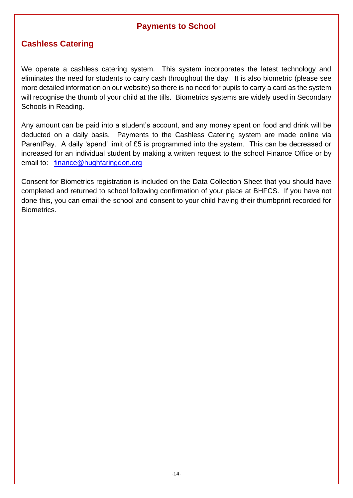## **Payments to School**

## **Cashless Catering**

We operate a cashless catering system. This system incorporates the latest technology and eliminates the need for students to carry cash throughout the day. It is also biometric (please see more detailed information on our website) so there is no need for pupils to carry a card as the system will recognise the thumb of your child at the tills. Biometrics systems are widely used in Secondary Schools in Reading.

Any amount can be paid into a student's account, and any money spent on food and drink will be deducted on a daily basis. Payments to the Cashless Catering system are made online via ParentPay. A daily 'spend' limit of £5 is programmed into the system. This can be decreased or increased for an individual student by making a written request to the school Finance Office or by email to: [finance@hughfaringdon.org](mailto:finance@hughfaringdon.org)

Consent for Biometrics registration is included on the Data Collection Sheet that you should have completed and returned to school following confirmation of your place at BHFCS. If you have not done this, you can email the school and consent to your child having their thumbprint recorded for Biometrics.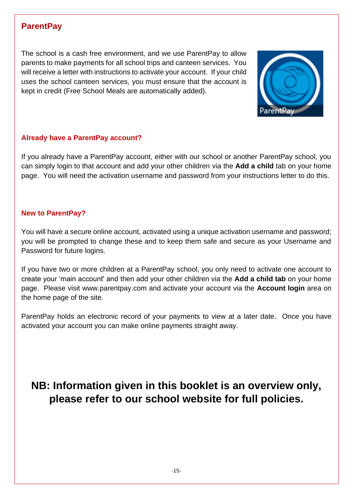## **ParentPay**

The school is a cash free environment, and we use ParentPay to allow parents to make payments for all school trips and canteen services. You will receive a letter with instructions to activate your account. If your child uses the school canteen services, you must ensure that the account is kept in credit (Free School Meals are automatically added).



#### **Already have a ParentPay account?**

If you already have a ParentPay account, either with our school or another ParentPay school, you can simply login to that account and add your other children via the **Add a child** tab on your home page. You will need the activation username and password from your instructions letter to do this.

#### **New to ParentPay?**

You will have a secure online account, activated using a unique activation username and password; you will be prompted to change these and to keep them safe and secure as your Username and Password for future logins.

If you have two or more children at a ParentPay school, you only need to activate one account to create your 'main account' and then add your other children via the **Add a child tab** on your home page. Please visit www.parentpay.com and activate your account via the **Account login** area on the home page of the site.

ParentPay holds an electronic record of your payments to view at a later date. Once you have activated your account you can make online payments straight away.

## **NB: Information given in this booklet is an overview only, please refer to our school website for full policies.**